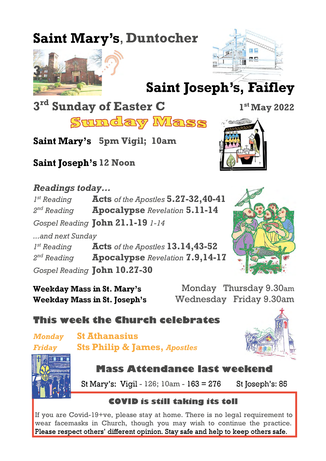# **Saint Mary's, Duntocher**





Saint Joseph's, Faifley

 $3<sup>rd</sup>$  Sunday of Easter C  $1<sup>st</sup>$  May 2022

Sunday Mass

- Saint Mary's 5pm Vigil; 10am
- **Saint Joseph's 12 Noon**

#### *Readings today...*

*1st Reading* **Acts** of the Apostles **5.27-32,40-41** *2nd Reading* Apocalypse *Revelation* 5.11-14

*Gospel Reading* John 21.1-19 *1-14* 

*...and next Sunday 1st Reading* **Acts** of the Apostles **13.14,43-52** *2nd Reading* Apocalypse *Revelation* 7.9,14-17 *Gospel Reading* John 10.27-30



**Weekday Mass in St. Mary's** Weekday Mass in St. Joseph's

Monday Thursday 9.30am Wednesday Friday 9.30am

## This week the Church celebrates

# *Monday* St Athanasius

*Friday* Sts Philip & James, *Apostles*







St Mary's: Vigil - 126; 10am - 163 = 276 St Joseph's: 85

#### COVID is still taking its toll

If you are Covid-19+ve, please stay at home. There is no legal requirement to wear facemasks in Church, though you may wish to continue the practice. Please respect others' different opinion. Stay safe and help to keep others safe.

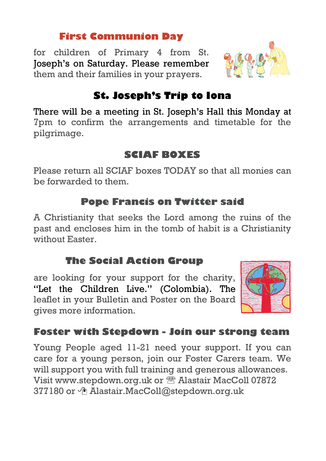#### First Communion Day

for children of Primary 4 from St. Joseph's on Saturday. Please remember them and their families in your prayers.



## St. Joseph's Trip to Iona

There will be a meeting in St. Joseph's Hall this Monday at 7pm to confirm the arrangements and timetable for the pilgrimage.

## SCIAF BOXES

Please return all SCIAF boxes TODAY so that all monies can be forwarded to them.

#### Pope Francis on Twitter said

A Christianity that seeks the Lord among the ruins of the past and encloses him in the tomb of habit is a Christianity without Easter.

## The Social Action Group

are looking for your support for the charity, "Let the Children Live." (Colombia). The leaflet in your Bulletin and Poster on the Board gives more information.



## Foster with Stepdown - Join our strong team

Young People aged 11-21 need your support. If you can care for a young person, join our Foster Carers team. We will support you with full training and generous allowances. Visit www.stepdown.org.uk or <sup>28</sup> Alastair MacColl 07872 377180 or Alastair.MacColl@stepdown.org.uk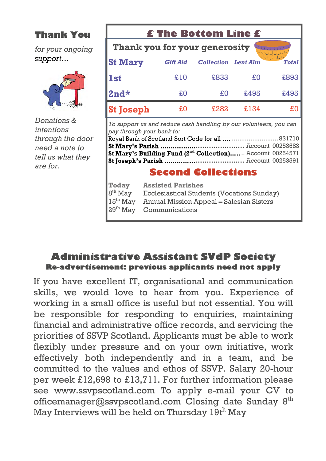#### Thank You

*for your ongoing*  support...



*Donations & intentions through the door need a note to tell us what they are for.* 

| <b>£ The Bottom Line £</b>                                                                                                                                                                                                                                                                                     |                                                                                                                           |                            |      |              |
|----------------------------------------------------------------------------------------------------------------------------------------------------------------------------------------------------------------------------------------------------------------------------------------------------------------|---------------------------------------------------------------------------------------------------------------------------|----------------------------|------|--------------|
| Thank you for your generosity                                                                                                                                                                                                                                                                                  |                                                                                                                           |                            |      |              |
| <b>St Mary</b>                                                                                                                                                                                                                                                                                                 | <b>Gift Aid</b>                                                                                                           | <b>Collection</b> Lent Alm |      | <b>Total</b> |
| <b>lst</b>                                                                                                                                                                                                                                                                                                     | £10                                                                                                                       | £833                       | £0   | £893         |
| $2nd*$                                                                                                                                                                                                                                                                                                         | £0                                                                                                                        | £0                         | £495 | £495         |
| <b>St Joseph</b>                                                                                                                                                                                                                                                                                               | £0                                                                                                                        | £282                       | £134 | \$0\$        |
| To support us and reduce cash handling by our volunteers, you can<br>pay through your bank to:<br>Royal Bank of Scotland Sort Code for all   831710<br><b>St Mary's Parish</b><br>Account 00253583<br><b>St Mary's Building Fund (2<sup>nd</sup> Collection)</b> Account 00254571<br><b>Second Collections</b> |                                                                                                                           |                            |      |              |
| <b>Today</b><br>$8^{\rm th}$ May<br>$15^{th}$ May                                                                                                                                                                                                                                                              | <b>Assisted Parishes</b><br>Ecclesiastical Students (Vocations Sunday)<br><b>Annual Mission Appeal – Salesian Sisters</b> |                            |      |              |

29th May Communications

#### Administrative Assistant SVdP Society Re-advertisement: previous applicants need not apply

If you have excellent IT, organisational and communication skills, we would love to hear from you. Experience of working in a small office is useful but not essential. You will be responsible for responding to enquiries, maintaining financial and administrative office records, and servicing the priorities of SSVP Scotland. Applicants must be able to work flexibly under pressure and on your own initiative, work effectively both independently and in a team, and be committed to the values and ethos of SSVP. Salary 20-hour per week £12,698 to £13,711. For further information please see www.ssvpscotland.com To apply e-mail your CV to officemanager@ssvpscotland.com Closing date Sunday 8<sup>th</sup> May Interviews will be held on Thursday 19t<sup>h</sup> May